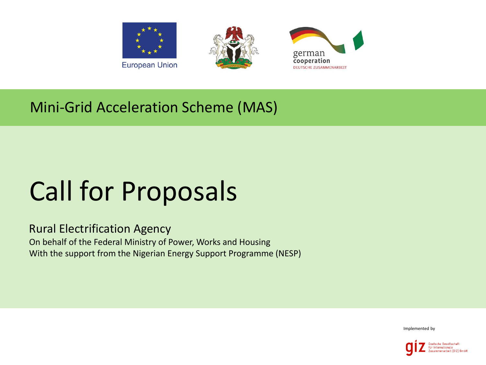





## Mini-Grid Acceleration Scheme (MAS)

## Call for Proposals

Rural Electrification Agency On behalf of the Federal Ministry of Power, Works and Housing With the support from the Nigerian Energy Support Programme (NESP)

Implemented by

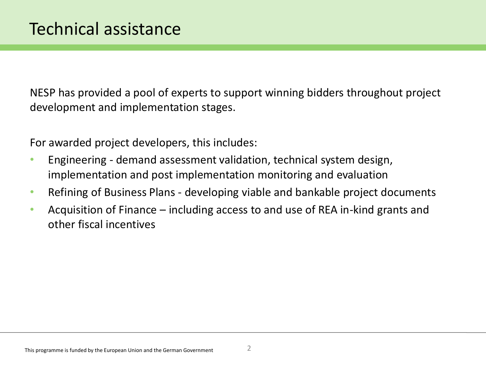NESP has provided a pool of experts to support winning bidders throughout project development and implementation stages.

For awarded project developers, this includes:

- Engineering demand assessment validation, technical system design, implementation and post implementation monitoring and evaluation
- Refining of Business Plans developing viable and bankable project documents
- Acquisition of Finance including access to and use of REA in-kind grants and other fiscal incentives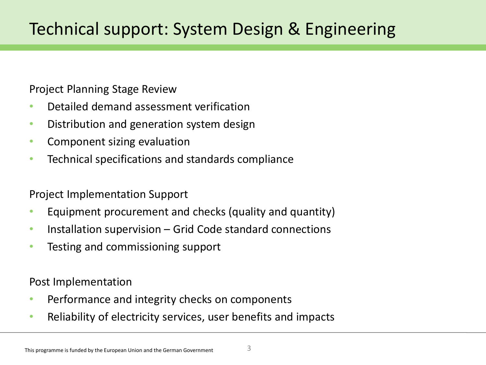Project Planning Stage Review

- Detailed demand assessment verification
- Distribution and generation system design
- Component sizing evaluation
- Technical specifications and standards compliance

Project Implementation Support

- Equipment procurement and checks (quality and quantity)
- Installation supervision Grid Code standard connections
- Testing and commissioning support

Post Implementation

- Performance and integrity checks on components
- Reliability of electricity services, user benefits and impacts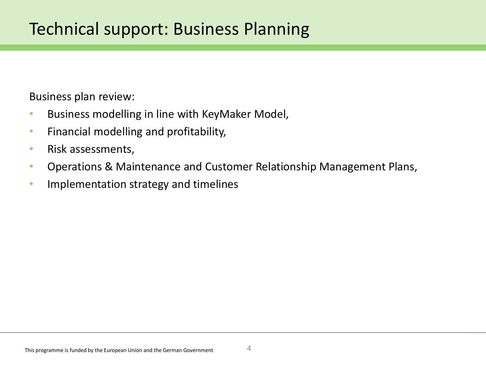Business plan review:

- Business modelling in line with KeyMaker Model,
- Financial modelling and profitability,
- Risk assessments,
- Operations & Maintenance and Customer Relationship Management Plans,
- Implementation strategy and timelines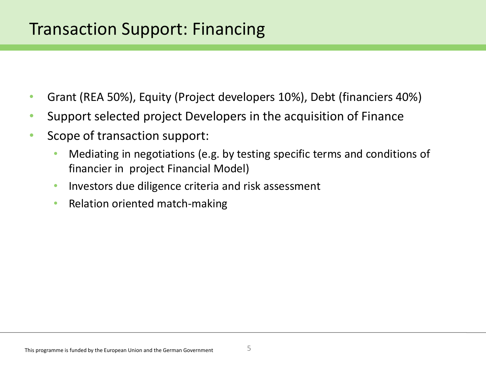## Transaction Support: Financing

- Grant (REA 50%), Equity (Project developers 10%), Debt (financiers 40%)
- Support selected project Developers in the acquisition of Finance
- Scope of transaction support:
	- Mediating in negotiations (e.g. by testing specific terms and conditions of financier in project Financial Model)
	- Investors due diligence criteria and risk assessment
	- Relation oriented match-making